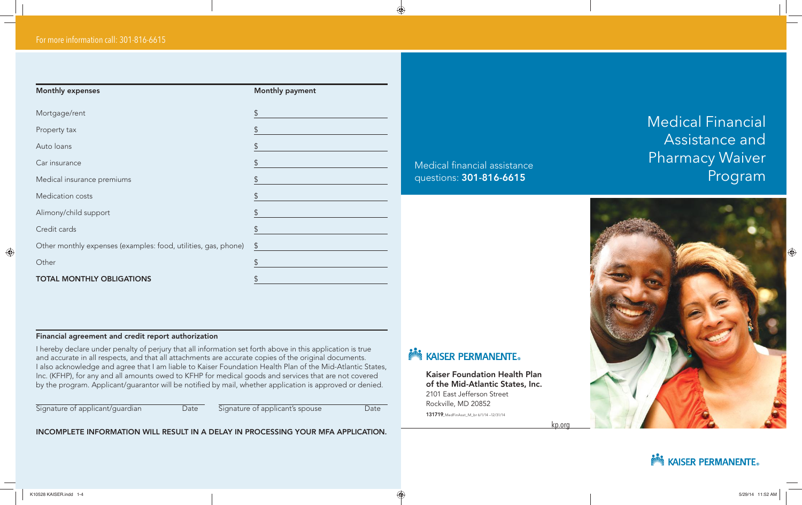| <b>Monthly expenses</b>                                        | Monthly payment       |
|----------------------------------------------------------------|-----------------------|
| Mortgage/rent                                                  | \$                    |
| Property tax                                                   | \$                    |
| Auto loans                                                     | \$                    |
| Car insurance                                                  | \$                    |
| Medical insurance premiums                                     | \$                    |
| Medication costs                                               | \$                    |
| Alimony/child support                                          | \$                    |
| Credit cards                                                   | \$                    |
| Other monthly expenses (examples: food, utilities, gas, phone) | $\boldsymbol{\theta}$ |
| Other                                                          | $\mathcal{L}$         |
| <b>TOTAL MONTHLY OBLIGATIONS</b>                               |                       |

### Medical financial assistance questions: 301-816-6615

# Medical Financial Assistance and Pharmacy Waiver Program



#### Financial agreement and credit report authorization

I hereby declare under penalty of perjury that all information set forth above in this application is true and accurate in all respects, and that all attachments are accurate copies of the original documents. I also acknowledge and agree that I am liable to Kaiser Foundation Health Plan of the Mid-Atlantic States, Inc. (KFHP), for any and all amounts owed to KFHP for medical goods and services that are not covered by the program. Applicant/guarantor will be notified by mail, whether application is approved or denied.

Signature of applicant/guardian Date Signature of applicant's spouse Date Date

INCOMPLETE INFORMATION WILL RESULT IN A DELAY IN PROCESSING YOUR MFA APPLICATION.

## **NOW KAISER PERMANENTE.**

Kaiser Foundation Health Plan of the Mid-Atlantic States, Inc. 2101 East Jefferson Street Rockville, MD 20852 131719\_MedFinAsst\_M\_br 6/1/14 –12/31/14

kp.org